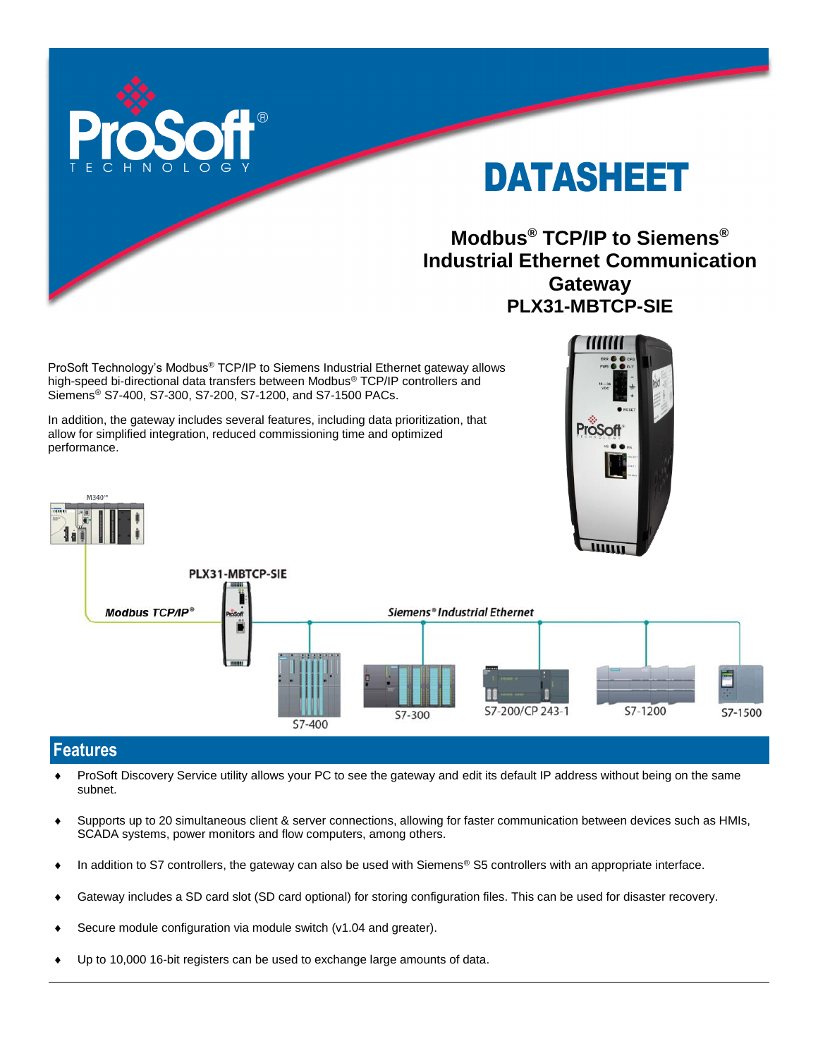

# DATASHEET

## **Modbus® TCP/IP to Siemens® Industrial Ethernet Communication Gateway PLX31-MBTCP-SIE**

ProSoft Technology's Modbus® TCP/IP to Siemens Industrial Ethernet gateway allows high-speed bi-directional data transfers between Modbus® TCP/IP controllers and Siemens® S7-400, S7-300, S7-200, S7-1200, and S7-1500 PACs.

In addition, the gateway includes several features, including data prioritization, that allow for simplified integration, reduced commissioning time and optimized performance.





## **Features**

M340°

- ProSoft Discovery Service utility allows your PC to see the gateway and edit its default IP address without being on the same subnet.
- Supports up to 20 simultaneous client & server connections, allowing for faster communication between devices such as HMIs, SCADA systems, power monitors and flow computers, among others.
- ◆ In addition to S7 controllers, the gateway can also be used with Siemens<sup>®</sup> S5 controllers with an appropriate interface.
- Gateway includes a SD card slot (SD card optional) for storing configuration files. This can be used for disaster recovery.
- Secure module configuration via module switch (v1.04 and greater).
- Up to 10,000 16-bit registers can be used to exchange large amounts of data.